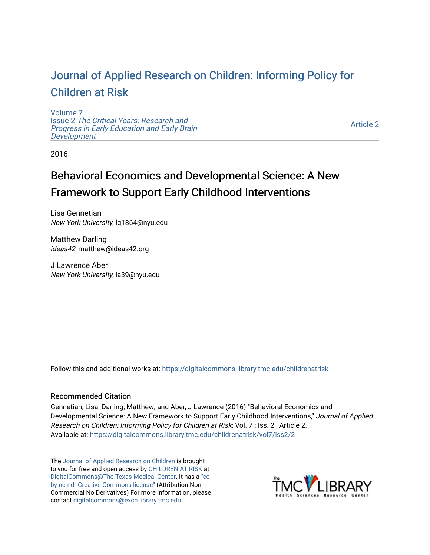# [Journal of Applied Research on Children: Informing Policy for](https://digitalcommons.library.tmc.edu/childrenatrisk) [Children at Risk](https://digitalcommons.library.tmc.edu/childrenatrisk)

[Volume 7](https://digitalcommons.library.tmc.edu/childrenatrisk/vol7) Issue 2 [The Critical Years: Research and](https://digitalcommons.library.tmc.edu/childrenatrisk/vol7/iss2) [Progress in Early Education and Early Brain](https://digitalcommons.library.tmc.edu/childrenatrisk/vol7/iss2)  [Development](https://digitalcommons.library.tmc.edu/childrenatrisk/vol7/iss2)

[Article 2](https://digitalcommons.library.tmc.edu/childrenatrisk/vol7/iss2/2) 

2016

# Behavioral Economics and Developmental Science: A New Framework to Support Early Childhood Interventions

Lisa Gennetian New York University, lg1864@nyu.edu

Matthew Darling ideas42, matthew@ideas42.org

J Lawrence Aber New York University, la39@nyu.edu

Follow this and additional works at: [https://digitalcommons.library.tmc.edu/childrenatrisk](https://digitalcommons.library.tmc.edu/childrenatrisk?utm_source=digitalcommons.library.tmc.edu%2Fchildrenatrisk%2Fvol7%2Fiss2%2F2&utm_medium=PDF&utm_campaign=PDFCoverPages) 

#### Recommended Citation

Gennetian, Lisa; Darling, Matthew; and Aber, J Lawrence (2016) "Behavioral Economics and Developmental Science: A New Framework to Support Early Childhood Interventions," Journal of Applied Research on Children: Informing Policy for Children at Risk: Vol. 7 : Iss. 2 , Article 2. Available at: [https://digitalcommons.library.tmc.edu/childrenatrisk/vol7/iss2/2](https://digitalcommons.library.tmc.edu/childrenatrisk/vol7/iss2/2?utm_source=digitalcommons.library.tmc.edu%2Fchildrenatrisk%2Fvol7%2Fiss2%2F2&utm_medium=PDF&utm_campaign=PDFCoverPages)

The [Journal of Applied Research on Children](http://digitalcommons.library.tmc.edu/childrenatrisk) is brought to you for free and open access by [CHILDREN AT RISK](http://childrenatrisk.org/) at [DigitalCommons@The Texas Medical Center](http://digitalcommons.library.tmc.edu/). It has a ["cc](http://creativecommons.org/licenses/by-nc-nd/3.0/)  [by-nc-nd" Creative Commons license"](http://creativecommons.org/licenses/by-nc-nd/3.0/) (Attribution Non-Commercial No Derivatives) For more information, please contact [digitalcommons@exch.library.tmc.edu](mailto:digitalcommons@exch.library.tmc.edu) 

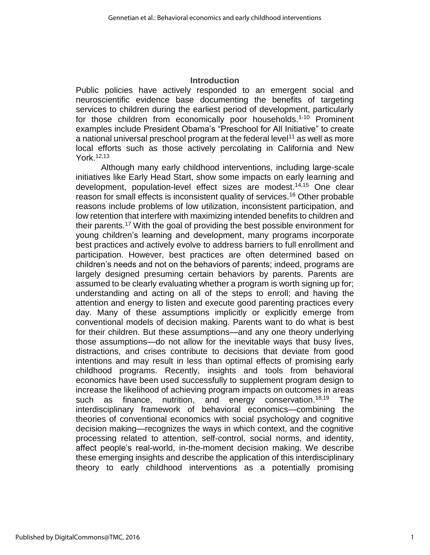#### **Introduction**

Public policies have actively responded to an emergent social and neuroscientific evidence base documenting the benefits of targeting services to children during the earliest period of development, particularly for those children from economically poor households.<sup>1-10</sup> Prominent examples include President Obama's "Preschool for All Initiative" to create a national universal preschool program at the federal level<sup>11</sup> as well as more local efforts such as those actively percolating in California and New York.12,13

Although many early childhood interventions, including large-scale initiatives like Early Head Start, show some impacts on early learning and development, population-level effect sizes are modest. 14,15 One clear reason for small effects is inconsistent quality of services.<sup>16</sup> Other probable reasons include problems of low utilization, inconsistent participation, and low retention that interfere with maximizing intended benefits to children and their parents. <sup>17</sup> With the goal of providing the best possible environment for young children's learning and development, many programs incorporate best practices and actively evolve to address barriers to full enrollment and participation. However, best practices are often determined based on children's needs and not on the behaviors of parents; indeed, programs are largely designed presuming certain behaviors by parents. Parents are assumed to be clearly evaluating whether a program is worth signing up for; understanding and acting on all of the steps to enroll; and having the attention and energy to listen and execute good parenting practices every day. Many of these assumptions implicitly or explicitly emerge from conventional models of decision making. Parents want to do what is best for their children. But these assumptions—and any one theory underlying those assumptions—do not allow for the inevitable ways that busy lives, distractions, and crises contribute to decisions that deviate from good intentions and may result in less than optimal effects of promising early childhood programs. Recently, insights and tools from behavioral economics have been used successfully to supplement program design to increase the likelihood of achieving program impacts on outcomes in areas such as finance, nutrition, and energy conservation.<sup>18,19</sup> The interdisciplinary framework of behavioral economics—combining the theories of conventional economics with social psychology and cognitive decision making—recognizes the ways in which context, and the cognitive processing related to attention, self-control, social norms, and identity, affect people's real-world, in-the-moment decision making. We describe these emerging insights and describe the application of this interdisciplinary theory to early childhood interventions as a potentially promising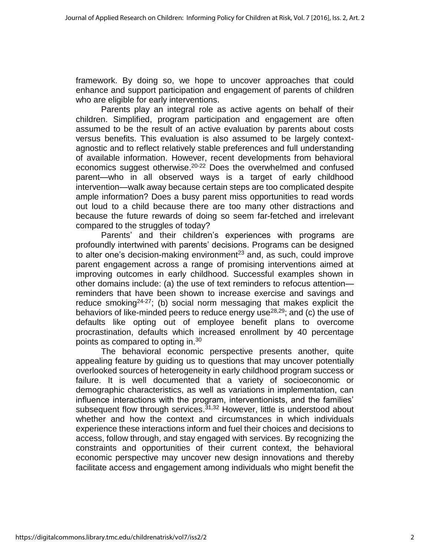framework. By doing so, we hope to uncover approaches that could enhance and support participation and engagement of parents of children who are eligible for early interventions.

Parents play an integral role as active agents on behalf of their children. Simplified, program participation and engagement are often assumed to be the result of an active evaluation by parents about costs versus benefits. This evaluation is also assumed to be largely contextagnostic and to reflect relatively stable preferences and full understanding of available information. However, recent developments from behavioral economics suggest otherwise.<sup>20-22</sup> Does the overwhelmed and confused parent—who in all observed ways is a target of early childhood intervention—walk away because certain steps are too complicated despite ample information? Does a busy parent miss opportunities to read words out loud to a child because there are too many other distractions and because the future rewards of doing so seem far-fetched and irrelevant compared to the struggles of today?

Parents' and their children's experiences with programs are profoundly intertwined with parents' decisions. Programs can be designed to alter one's decision-making environment<sup>23</sup> and, as such, could improve parent engagement across a range of promising interventions aimed at improving outcomes in early childhood. Successful examples shown in other domains include: (a) the use of text reminders to refocus attention reminders that have been shown to increase exercise and savings and reduce smoking<sup>24-27</sup>; (b) social norm messaging that makes explicit the behaviors of like-minded peers to reduce energy use<sup>28,29</sup>; and (c) the use of defaults like opting out of employee benefit plans to overcome procrastination, defaults which increased enrollment by 40 percentage points as compared to opting in.<sup>30</sup>

The behavioral economic perspective presents another, quite appealing feature by guiding us to questions that may uncover potentially overlooked sources of heterogeneity in early childhood program success or failure. It is well documented that a variety of socioeconomic or demographic characteristics, as well as variations in implementation, can influence interactions with the program, interventionists, and the families' subsequent flow through services.<sup>31,32</sup> However, little is understood about whether and how the context and circumstances in which individuals experience these interactions inform and fuel their choices and decisions to access, follow through, and stay engaged with services. By recognizing the constraints and opportunities of their current context, the behavioral economic perspective may uncover new design innovations and thereby facilitate access and engagement among individuals who might benefit the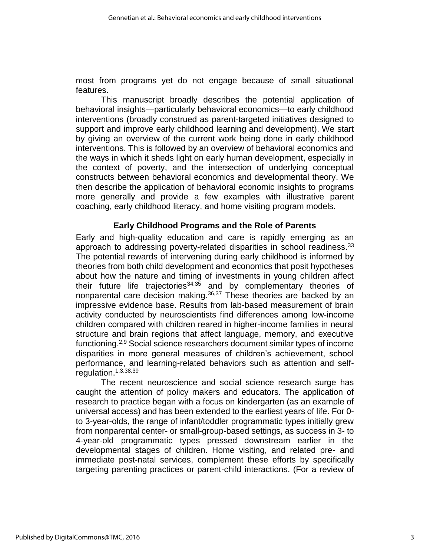most from programs yet do not engage because of small situational features.

This manuscript broadly describes the potential application of behavioral insights—particularly behavioral economics—to early childhood interventions (broadly construed as parent-targeted initiatives designed to support and improve early childhood learning and development). We start by giving an overview of the current work being done in early childhood interventions. This is followed by an overview of behavioral economics and the ways in which it sheds light on early human development, especially in the context of poverty, and the intersection of underlying conceptual constructs between behavioral economics and developmental theory. We then describe the application of behavioral economic insights to programs more generally and provide a few examples with illustrative parent coaching, early childhood literacy, and home visiting program models.

## **Early Childhood Programs and the Role of Parents**

Early and high-quality education and care is rapidly emerging as an approach to addressing poverty-related disparities in school readiness.<sup>33</sup> The potential rewards of intervening during early childhood is informed by theories from both child development and economics that posit hypotheses about how the nature and timing of investments in young children affect their future life trajectories<sup>34,35</sup> and by complementary theories of nonparental care decision making.<sup>36,37</sup> These theories are backed by an impressive evidence base. Results from lab-based measurement of brain activity conducted by neuroscientists find differences among low-income children compared with children reared in higher-income families in neural structure and brain regions that affect language, memory, and executive functioning.<sup>2,9</sup> Social science researchers document similar types of income disparities in more general measures of children's achievement, school performance, and learning-related behaviors such as attention and selfregulation.<sup>1,3,38,39</sup>

The recent neuroscience and social science research surge has caught the attention of policy makers and educators. The application of research to practice began with a focus on kindergarten (as an example of universal access) and has been extended to the earliest years of life. For 0 to 3-year-olds, the range of infant/toddler programmatic types initially grew from nonparental center- or small-group-based settings, as success in 3- to 4-year-old programmatic types pressed downstream earlier in the developmental stages of children. Home visiting, and related pre- and immediate post-natal services, complement these efforts by specifically targeting parenting practices or parent-child interactions. (For a review of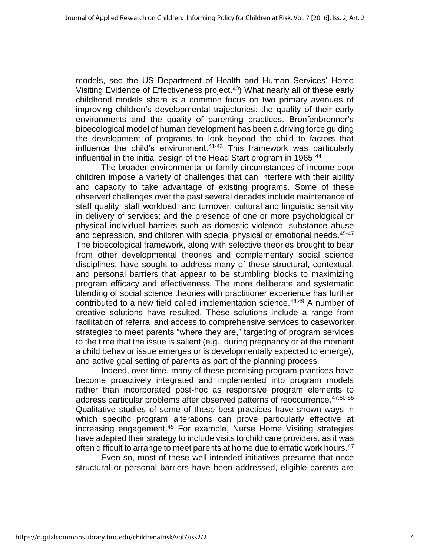models, see the US Department of Health and Human Services' Home Visiting Evidence of Effectiveness project. <sup>40</sup>) What nearly all of these early childhood models share is a common focus on two primary avenues of improving children's developmental trajectories: the quality of their early environments and the quality of parenting practices. Bronfenbrenner's bioecological model of human development has been a driving force guiding the development of programs to look beyond the child to factors that influence the child's environment. 41-43 This framework was particularly influential in the initial design of the Head Start program in 1965. 44

The broader environmental or family circumstances of income-poor children impose a variety of challenges that can interfere with their ability and capacity to take advantage of existing programs. Some of these observed challenges over the past several decades include maintenance of staff quality, staff workload, and turnover; cultural and linguistic sensitivity in delivery of services; and the presence of one or more psychological or physical individual barriers such as domestic violence, substance abuse and depression, and children with special physical or emotional needs. 45-47 The bioecological framework, along with selective theories brought to bear from other developmental theories and complementary social science disciplines, have sought to address many of these structural, contextual, and personal barriers that appear to be stumbling blocks to maximizing program efficacy and effectiveness. The more deliberate and systematic blending of social science theories with practitioner experience has further contributed to a new field called implementation science. 48,49 A number of creative solutions have resulted. These solutions include a range from facilitation of referral and access to comprehensive services to caseworker strategies to meet parents "where they are," targeting of program services to the time that the issue is salient (e.g., during pregnancy or at the moment a child behavior issue emerges or is developmentally expected to emerge), and active goal setting of parents as part of the planning process.

Indeed, over time, many of these promising program practices have become proactively integrated and implemented into program models rather than incorporated post-hoc as responsive program elements to address particular problems after observed patterns of reoccurrence. 47,50-55 Qualitative studies of some of these best practices have shown ways in which specific program alterations can prove particularly effective at increasing engagement.<sup>45</sup> For example, Nurse Home Visiting strategies have adapted their strategy to include visits to child care providers, as it was often difficult to arrange to meet parents at home due to erratic work hours.<sup>47</sup>

Even so, most of these well-intended initiatives presume that once structural or personal barriers have been addressed, eligible parents are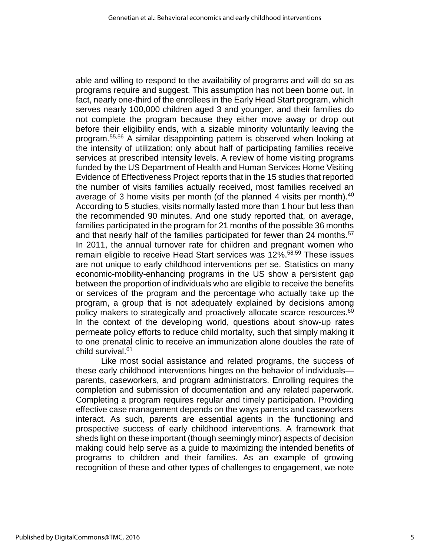able and willing to respond to the availability of programs and will do so as programs require and suggest. This assumption has not been borne out. In fact, nearly one-third of the enrollees in the Early Head Start program, which serves nearly 100,000 children aged 3 and younger, and their families do not complete the program because they either move away or drop out before their eligibility ends, with a sizable minority voluntarily leaving the program. 55,56 A similar disappointing pattern is observed when looking at the intensity of utilization: only about half of participating families receive services at prescribed intensity levels. A review of home visiting programs funded by the US Department of Health and Human Services Home Visiting Evidence of Effectiveness Project reports that in the 15 studies that reported the number of visits families actually received, most families received an average of 3 home visits per month (of the planned 4 visits per month).<sup>40</sup> According to 5 studies, visits normally lasted more than 1 hour but less than the recommended 90 minutes. And one study reported that, on average, families participated in the program for 21 months of the possible 36 months and that nearly half of the families participated for fewer than 24 months.<sup>57</sup> In 2011, the annual turnover rate for children and pregnant women who remain eligible to receive Head Start services was 12%. 58,59 These issues are not unique to early childhood interventions per se. Statistics on many economic-mobility-enhancing programs in the US show a persistent gap between the proportion of individuals who are eligible to receive the benefits or services of the program and the percentage who actually take up the program, a group that is not adequately explained by decisions among policy makers to strategically and proactively allocate scarce resources.<sup>60</sup> In the context of the developing world, questions about show-up rates permeate policy efforts to reduce child mortality, such that simply making it to one prenatal clinic to receive an immunization alone doubles the rate of child survival. 61

Like most social assistance and related programs, the success of these early childhood interventions hinges on the behavior of individuals parents, caseworkers, and program administrators. Enrolling requires the completion and submission of documentation and any related paperwork. Completing a program requires regular and timely participation. Providing effective case management depends on the ways parents and caseworkers interact. As such, parents are essential agents in the functioning and prospective success of early childhood interventions. A framework that sheds light on these important (though seemingly minor) aspects of decision making could help serve as a guide to maximizing the intended benefits of programs to children and their families. As an example of growing recognition of these and other types of challenges to engagement, we note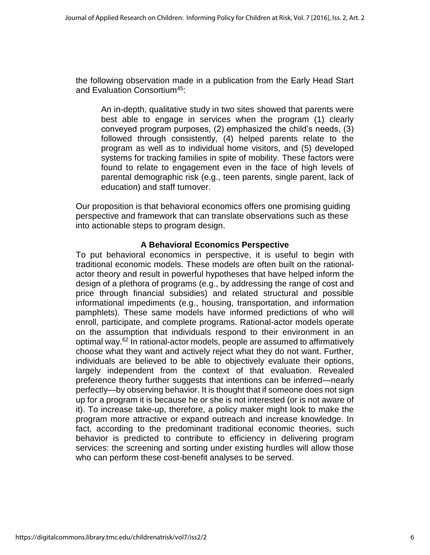the following observation made in a publication from the Early Head Start and Evaluation Consortium<sup>45</sup>:

An in-depth, qualitative study in two sites showed that parents were best able to engage in services when the program (1) clearly conveyed program purposes, (2) emphasized the child's needs, (3) followed through consistently, (4) helped parents relate to the program as well as to individual home visitors, and (5) developed systems for tracking families in spite of mobility. These factors were found to relate to engagement even in the face of high levels of parental demographic risk (e.g., teen parents, single parent, lack of education) and staff turnover.

Our proposition is that behavioral economics offers one promising guiding perspective and framework that can translate observations such as these into actionable steps to program design.

## **A Behavioral Economics Perspective**

To put behavioral economics in perspective, it is useful to begin with traditional economic models. These models are often built on the rationalactor theory and result in powerful hypotheses that have helped inform the design of a plethora of programs (e.g., by addressing the range of cost and price through financial subsidies) and related structural and possible informational impediments (e.g., housing, transportation, and information pamphlets). These same models have informed predictions of who will enroll, participate, and complete programs. Rational-actor models operate on the assumption that individuals respond to their environment in an optimal way. <sup>62</sup> In rational-actor models, people are assumed to affirmatively choose what they want and actively reject what they do not want. Further, individuals are believed to be able to objectively evaluate their options, largely independent from the context of that evaluation. Revealed preference theory further suggests that intentions can be inferred—nearly perfectly—by observing behavior. It is thought that if someone does not sign up for a program it is because he or she is not interested (or is not aware of it). To increase take-up, therefore, a policy maker might look to make the program more attractive or expand outreach and increase knowledge. In fact, according to the predominant traditional economic theories, such behavior is predicted to contribute to efficiency in delivering program services: the screening and sorting under existing hurdles will allow those who can perform these cost-benefit analyses to be served.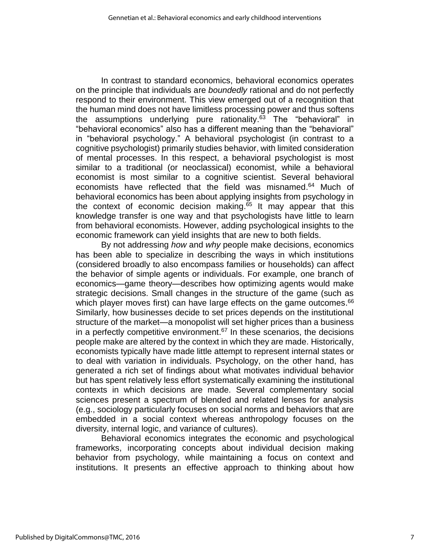In contrast to standard economics, behavioral economics operates on the principle that individuals are *boundedly* rational and do not perfectly respond to their environment. This view emerged out of a recognition that the human mind does not have limitless processing power and thus softens the assumptions underlying pure rationality.<sup>63</sup> The "behavioral" in "behavioral economics" also has a different meaning than the "behavioral" in "behavioral psychology." A behavioral psychologist (in contrast to a cognitive psychologist) primarily studies behavior, with limited consideration of mental processes. In this respect, a behavioral psychologist is most similar to a traditional (or neoclassical) economist, while a behavioral economist is most similar to a cognitive scientist. Several behavioral economists have reflected that the field was misnamed. <sup>64</sup> Much of behavioral economics has been about applying insights from psychology in the context of economic decision making.<sup>65</sup> It may appear that this knowledge transfer is one way and that psychologists have little to learn from behavioral economists. However, adding psychological insights to the economic framework can yield insights that are new to both fields.

By not addressing *how* and *why* people make decisions, economics has been able to specialize in describing the ways in which institutions (considered broadly to also encompass families or households) can affect the behavior of simple agents or individuals. For example, one branch of economics—game theory—describes how optimizing agents would make strategic decisions. Small changes in the structure of the game (such as which player moves first) can have large effects on the game outcomes.<sup>66</sup> Similarly, how businesses decide to set prices depends on the institutional structure of the market—a monopolist will set higher prices than a business in a perfectly competitive environment. <sup>67</sup> In these scenarios, the decisions people make are altered by the context in which they are made. Historically, economists typically have made little attempt to represent internal states or to deal with variation in individuals. Psychology, on the other hand, has generated a rich set of findings about what motivates individual behavior but has spent relatively less effort systematically examining the institutional contexts in which decisions are made. Several complementary social sciences present a spectrum of blended and related lenses for analysis (e.g., sociology particularly focuses on social norms and behaviors that are embedded in a social context whereas anthropology focuses on the diversity, internal logic, and variance of cultures).

Behavioral economics integrates the economic and psychological frameworks, incorporating concepts about individual decision making behavior from psychology, while maintaining a focus on context and institutions. It presents an effective approach to thinking about how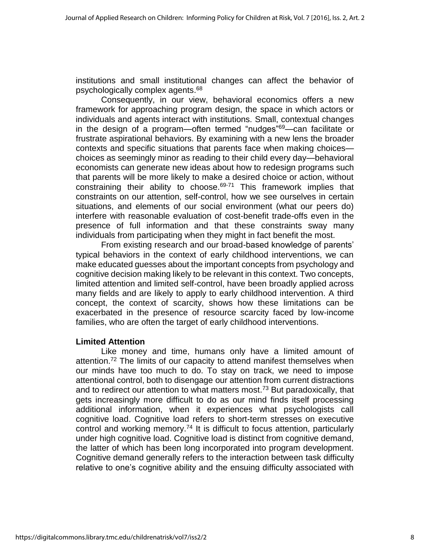institutions and small institutional changes can affect the behavior of psychologically complex agents. 68

Consequently, in our view, behavioral economics offers a new framework for approaching program design, the space in which actors or individuals and agents interact with institutions. Small, contextual changes in the design of a program—often termed "nudges"<sup>69</sup>—can facilitate or frustrate aspirational behaviors. By examining with a new lens the broader contexts and specific situations that parents face when making choices choices as seemingly minor as reading to their child every day—behavioral economists can generate new ideas about how to redesign programs such that parents will be more likely to make a desired choice or action, without constraining their ability to choose.<sup>69-71</sup> This framework implies that constraints on our attention, self-control, how we see ourselves in certain situations, and elements of our social environment (what our peers do) interfere with reasonable evaluation of cost-benefit trade-offs even in the presence of full information and that these constraints sway many individuals from participating when they might in fact benefit the most.

From existing research and our broad-based knowledge of parents' typical behaviors in the context of early childhood interventions, we can make educated guesses about the important concepts from psychology and cognitive decision making likely to be relevant in this context. Two concepts, limited attention and limited self-control, have been broadly applied across many fields and are likely to apply to early childhood intervention. A third concept, the context of scarcity, shows how these limitations can be exacerbated in the presence of resource scarcity faced by low-income families, who are often the target of early childhood interventions.

#### **Limited Attention**

Like money and time, humans only have a limited amount of attention.<sup>72</sup> The limits of our capacity to attend manifest themselves when our minds have too much to do. To stay on track, we need to impose attentional control, both to disengage our attention from current distractions and to redirect our attention to what matters most. <sup>73</sup> But paradoxically, that gets increasingly more difficult to do as our mind finds itself processing additional information, when it experiences what psychologists call cognitive load. Cognitive load refers to short-term stresses on executive control and working memory.<sup>74</sup> It is difficult to focus attention, particularly under high cognitive load. Cognitive load is distinct from cognitive demand, the latter of which has been long incorporated into program development. Cognitive demand generally refers to the interaction between task difficulty relative to one's cognitive ability and the ensuing difficulty associated with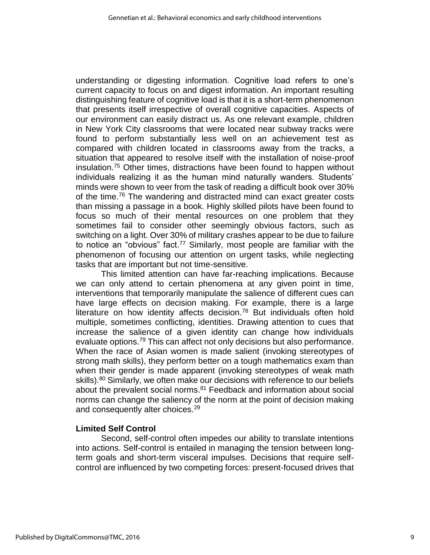understanding or digesting information. Cognitive load refers to one's current capacity to focus on and digest information. An important resulting distinguishing feature of cognitive load is that it is a short-term phenomenon that presents itself irrespective of overall cognitive capacities. Aspects of our environment can easily distract us. As one relevant example, children in New York City classrooms that were located near subway tracks were found to perform substantially less well on an achievement test as compared with children located in classrooms away from the tracks, a situation that appeared to resolve itself with the installation of noise-proof insulation. <sup>75</sup> Other times, distractions have been found to happen without individuals realizing it as the human mind naturally wanders. Students' minds were shown to veer from the task of reading a difficult book over 30% of the time.<sup>76</sup> The wandering and distracted mind can exact greater costs than missing a passage in a book. Highly skilled pilots have been found to focus so much of their mental resources on one problem that they sometimes fail to consider other seemingly obvious factors, such as switching on a light. Over 30% of military crashes appear to be due to failure to notice an "obvious" fact.<sup>77</sup> Similarly, most people are familiar with the phenomenon of focusing our attention on urgent tasks, while neglecting tasks that are important but not time-sensitive.

This limited attention can have far-reaching implications. Because we can only attend to certain phenomena at any given point in time, interventions that temporarily manipulate the salience of different cues can have large effects on decision making. For example, there is a large literature on how identity affects decision.<sup>78</sup> But individuals often hold multiple, sometimes conflicting, identities. Drawing attention to cues that increase the salience of a given identity can change how individuals evaluate options.<sup>79</sup> This can affect not only decisions but also performance. When the race of Asian women is made salient (invoking stereotypes of strong math skills), they perform better on a tough mathematics exam than when their gender is made apparent (invoking stereotypes of weak math skills).<sup>80</sup> Similarly, we often make our decisions with reference to our beliefs about the prevalent social norms. <sup>81</sup> Feedback and information about social norms can change the saliency of the norm at the point of decision making and consequently alter choices.<sup>29</sup>

#### **Limited Self Control**

Second, self-control often impedes our ability to translate intentions into actions. Self-control is entailed in managing the tension between longterm goals and short-term visceral impulses. Decisions that require selfcontrol are influenced by two competing forces: present-focused drives that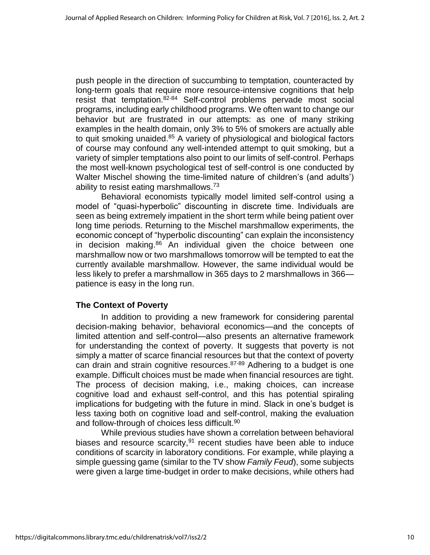push people in the direction of succumbing to temptation, counteracted by long-term goals that require more resource-intensive cognitions that help resist that temptation.<sup>82-84</sup> Self-control problems pervade most social programs, including early childhood programs. We often want to change our behavior but are frustrated in our attempts: as one of many striking examples in the health domain, only 3% to 5% of smokers are actually able to quit smoking unaided.<sup>85</sup> A variety of physiological and biological factors of course may confound any well-intended attempt to quit smoking, but a variety of simpler temptations also point to our limits of self-control. Perhaps the most well-known psychological test of self-control is one conducted by Walter Mischel showing the time-limited nature of children's (and adults') ability to resist eating marshmallows.<sup>73</sup>

Behavioral economists typically model limited self-control using a model of "quasi-hyperbolic" discounting in discrete time. Individuals are seen as being extremely impatient in the short term while being patient over long time periods. Returning to the Mischel marshmallow experiments, the economic concept of "hyperbolic discounting" can explain the inconsistency in decision making. <sup>86</sup> An individual given the choice between one marshmallow now or two marshmallows tomorrow will be tempted to eat the currently available marshmallow. However, the same individual would be less likely to prefer a marshmallow in 365 days to 2 marshmallows in 366 patience is easy in the long run.

# **The Context of Poverty**

In addition to providing a new framework for considering parental decision-making behavior, behavioral economics—and the concepts of limited attention and self-control—also presents an alternative framework for understanding the context of poverty. It suggests that poverty is not simply a matter of scarce financial resources but that the context of poverty can drain and strain cognitive resources.<sup>87-89</sup> Adhering to a budget is one example. Difficult choices must be made when financial resources are tight. The process of decision making, i.e., making choices, can increase cognitive load and exhaust self-control, and this has potential spiraling implications for budgeting with the future in mind. Slack in one's budget is less taxing both on cognitive load and self-control, making the evaluation and follow-through of choices less difficult.<sup>90</sup>

While previous studies have shown a correlation between behavioral biases and resource scarcity,<sup>91</sup> recent studies have been able to induce conditions of scarcity in laboratory conditions. For example, while playing a simple guessing game (similar to the TV show *Family Feud*), some subjects were given a large time-budget in order to make decisions, while others had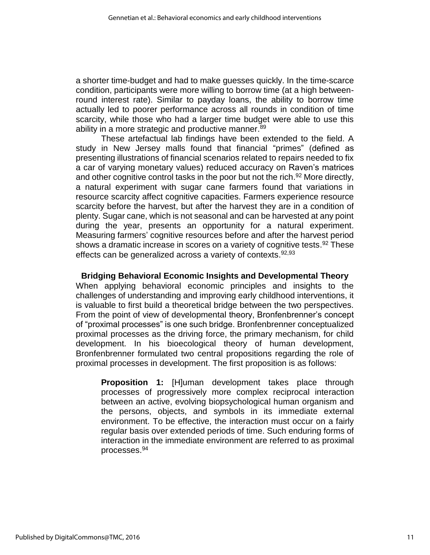a shorter time-budget and had to make guesses quickly. In the time-scarce condition, participants were more willing to borrow time (at a high betweenround interest rate). Similar to payday loans, the ability to borrow time actually led to poorer performance across all rounds in condition of time scarcity, while those who had a larger time budget were able to use this ability in a more strategic and productive manner.<sup>89</sup>

These artefactual lab findings have been extended to the field. A study in New Jersey malls found that financial "primes" (defined as presenting illustrations of financial scenarios related to repairs needed to fix a car of varying monetary values) reduced accuracy on Raven's matrices and other cognitive control tasks in the poor but not the rich.<sup>92</sup> More directly, a natural experiment with sugar cane farmers found that variations in resource scarcity affect cognitive capacities. Farmers experience resource scarcity before the harvest, but after the harvest they are in a condition of plenty. Sugar cane, which is not seasonal and can be harvested at any point during the year, presents an opportunity for a natural experiment. Measuring farmers' cognitive resources before and after the harvest period shows a dramatic increase in scores on a variety of cognitive tests.<sup>92</sup> These effects can be generalized across a variety of contexts.<sup>92,93</sup>

**Bridging Behavioral Economic Insights and Developmental Theory** When applying behavioral economic principles and insights to the challenges of understanding and improving early childhood interventions, it is valuable to first build a theoretical bridge between the two perspectives. From the point of view of developmental theory, Bronfenbrenner's concept of "proximal processes" is one such bridge. Bronfenbrenner conceptualized proximal processes as the driving force, the primary mechanism, for child development. In his bioecological theory of human development, Bronfenbrenner formulated two central propositions regarding the role of proximal processes in development. The first proposition is as follows:

**Proposition 1:** [H]uman development takes place through processes of progressively more complex reciprocal interaction between an active, evolving biopsychological human organism and the persons, objects, and symbols in its immediate external environment. To be effective, the interaction must occur on a fairly regular basis over extended periods of time. Such enduring forms of interaction in the immediate environment are referred to as proximal processes. 94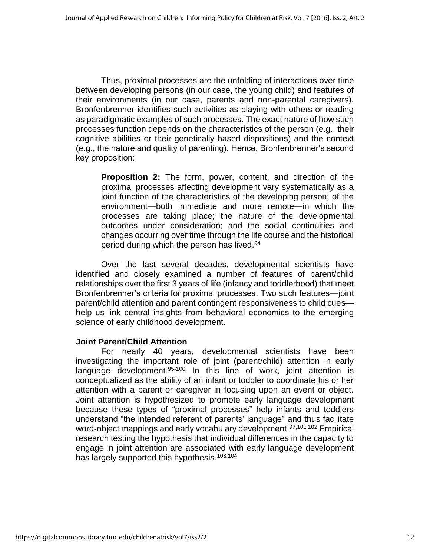Thus, proximal processes are the unfolding of interactions over time between developing persons (in our case, the young child) and features of their environments (in our case, parents and non-parental caregivers). Bronfenbrenner identifies such activities as playing with others or reading as paradigmatic examples of such processes. The exact nature of how such processes function depends on the characteristics of the person (e.g., their cognitive abilities or their genetically based dispositions) and the context (e.g., the nature and quality of parenting). Hence, Bronfenbrenner's second key proposition:

**Proposition 2:** The form, power, content, and direction of the proximal processes affecting development vary systematically as a joint function of the characteristics of the developing person; of the environment—both immediate and more remote—in which the processes are taking place; the nature of the developmental outcomes under consideration; and the social continuities and changes occurring over time through the life course and the historical period during which the person has lived. 94

Over the last several decades, developmental scientists have identified and closely examined a number of features of parent/child relationships over the first 3 years of life (infancy and toddlerhood) that meet Bronfenbrenner's criteria for proximal processes. Two such features—joint parent/child attention and parent contingent responsiveness to child cues help us link central insights from behavioral economics to the emerging science of early childhood development.

#### **Joint Parent/Child Attention**

For nearly 40 years, developmental scientists have been investigating the important role of joint (parent/child) attention in early language development.<sup>95-100</sup> In this line of work, joint attention is conceptualized as the ability of an infant or toddler to coordinate his or her attention with a parent or caregiver in focusing upon an event or object. Joint attention is hypothesized to promote early language development because these types of "proximal processes" help infants and toddlers understand "the intended referent of parents' language" and thus facilitate word-object mappings and early vocabulary development.<sup>97,101,102</sup> Empirical research testing the hypothesis that individual differences in the capacity to engage in joint attention are associated with early language development has largely supported this hypothesis.<sup>103,104</sup>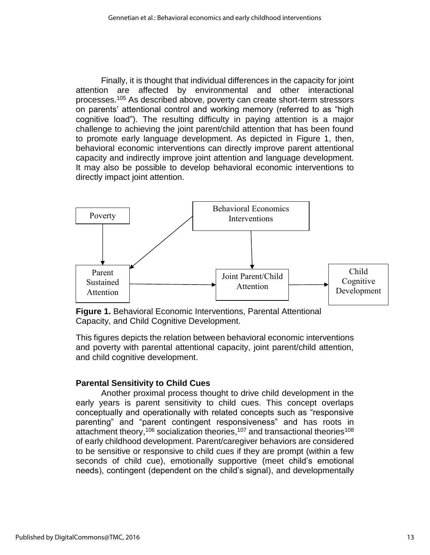Finally, it is thought that individual differences in the capacity for joint attention are affected by environmental and other interactional processes. <sup>105</sup> As described above, poverty can create short-term stressors on parents' attentional control and working memory (referred to as "high cognitive load"). The resulting difficulty in paying attention is a major challenge to achieving the joint parent/child attention that has been found to promote early language development. As depicted in Figure 1, then, behavioral economic interventions can directly improve parent attentional capacity and indirectly improve joint attention and language development. It may also be possible to develop behavioral economic interventions to directly impact joint attention.



**Figure 1.** Behavioral Economic Interventions, Parental Attentional Capacity, and Child Cognitive Development.

This figures depicts the relation between behavioral economic interventions and poverty with parental attentional capacity, joint parent/child attention, and child cognitive development.

# **Parental Sensitivity to Child Cues**

Another proximal process thought to drive child development in the early years is parent sensitivity to child cues. This concept overlaps conceptually and operationally with related concepts such as "responsive parenting" and "parent contingent responsiveness" and has roots in attachment theory,<sup>106</sup> socialization theories,<sup>107</sup> and transactional theories<sup>108</sup> of early childhood development. Parent/caregiver behaviors are considered to be sensitive or responsive to child cues if they are prompt (within a few seconds of child cue), emotionally supportive (meet child's emotional needs), contingent (dependent on the child's signal), and developmentally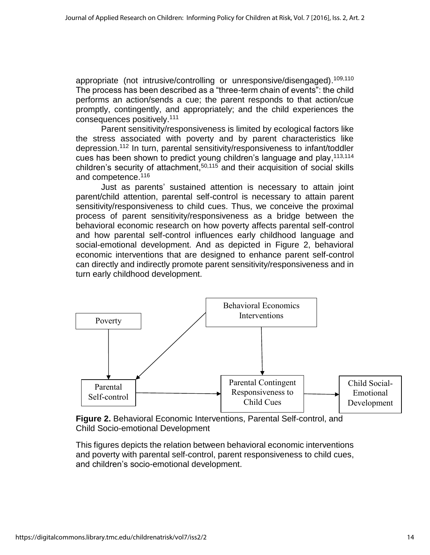appropriate (not intrusive/controlling or unresponsive/disengaged).<sup>109,110</sup> The process has been described as a "three-term chain of events": the child performs an action/sends a cue; the parent responds to that action/cue promptly, contingently, and appropriately; and the child experiences the consequences positively.<sup>111</sup>

Parent sensitivity/responsiveness is limited by ecological factors like the stress associated with poverty and by parent characteristics like depression. <sup>112</sup> In turn, parental sensitivity/responsiveness to infant/toddler cues has been shown to predict young children's language and play, 113,114 children's security of attachment, 50,115 and their acquisition of social skills and competence.<sup>116</sup>

Just as parents' sustained attention is necessary to attain joint parent/child attention, parental self-control is necessary to attain parent sensitivity/responsiveness to child cues. Thus, we conceive the proximal process of parent sensitivity/responsiveness as a bridge between the behavioral economic research on how poverty affects parental self-control and how parental self-control influences early childhood language and social-emotional development. And as depicted in Figure 2, behavioral economic interventions that are designed to enhance parent self-control can directly and indirectly promote parent sensitivity/responsiveness and in turn early childhood development.



**Figure 2.** Behavioral Economic Interventions, Parental Self-control, and Child Socio-emotional Development

This figures depicts the relation between behavioral economic interventions and poverty with parental self-control, parent responsiveness to child cues, and children's socio-emotional development.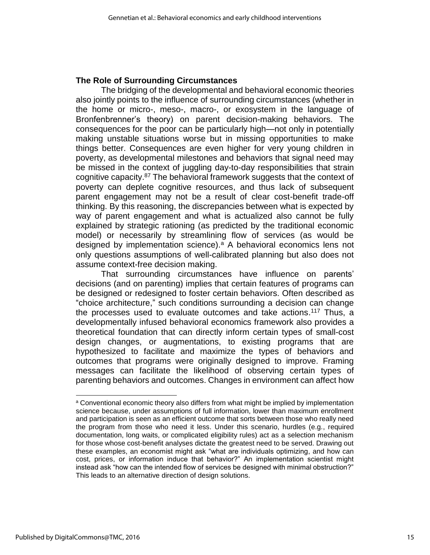#### **The Role of Surrounding Circumstances**

The bridging of the developmental and behavioral economic theories also jointly points to the influence of surrounding circumstances (whether in the home or micro-, meso-, macro-, or exosystem in the language of Bronfenbrenner's theory) on parent decision-making behaviors. The consequences for the poor can be particularly high—not only in potentially making unstable situations worse but in missing opportunities to make things better. Consequences are even higher for very young children in poverty, as developmental milestones and behaviors that signal need may be missed in the context of juggling day-to-day responsibilities that strain cognitive capacity.<sup>87</sup> The behavioral framework suggests that the context of poverty can deplete cognitive resources, and thus lack of subsequent parent engagement may not be a result of clear cost-benefit trade-off thinking. By this reasoning, the discrepancies between what is expected by way of parent engagement and what is actualized also cannot be fully explained by strategic rationing (as predicted by the traditional economic model) or necessarily by streamlining flow of services (as would be designed by implementation science).<sup>a</sup> A behavioral economics lens not only questions assumptions of well-calibrated planning but also does not assume context-free decision making.

That surrounding circumstances have influence on parents' decisions (and on parenting) implies that certain features of programs can be designed or redesigned to foster certain behaviors. Often described as "choice architecture," such conditions surrounding a decision can change the processes used to evaluate outcomes and take actions.<sup>117</sup> Thus, a developmentally infused behavioral economics framework also provides a theoretical foundation that can directly inform certain types of small-cost design changes, or augmentations, to existing programs that are hypothesized to facilitate and maximize the types of behaviors and outcomes that programs were originally designed to improve. Framing messages can facilitate the likelihood of observing certain types of parenting behaviors and outcomes. Changes in environment can affect how

<sup>&</sup>lt;sup>a</sup> Conventional economic theory also differs from what might be implied by implementation science because, under assumptions of full information, lower than maximum enrollment and participation is seen as an efficient outcome that sorts between those who really need the program from those who need it less. Under this scenario, hurdles (e.g., required documentation, long waits, or complicated eligibility rules) act as a selection mechanism for those whose cost-benefit analyses dictate the greatest need to be served. Drawing out these examples, an economist might ask "what are individuals optimizing, and how can cost, prices, or information induce that behavior?" An implementation scientist might instead ask "how can the intended flow of services be designed with minimal obstruction?" This leads to an alternative direction of design solutions.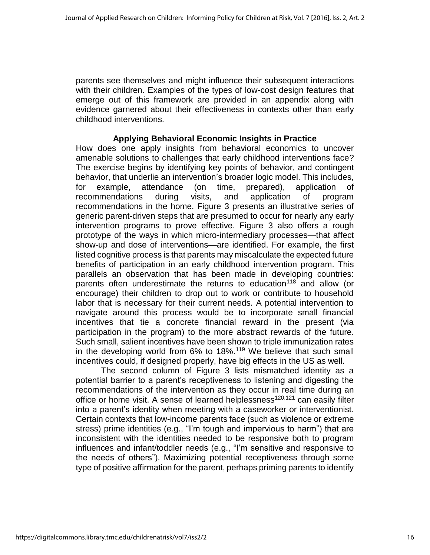parents see themselves and might influence their subsequent interactions with their children. Examples of the types of low-cost design features that emerge out of this framework are provided in an appendix along with evidence garnered about their effectiveness in contexts other than early childhood interventions.

#### **Applying Behavioral Economic Insights in Practice**

How does one apply insights from behavioral economics to uncover amenable solutions to challenges that early childhood interventions face? The exercise begins by identifying key points of behavior, and contingent behavior, that underlie an intervention's broader logic model. This includes, for example, attendance (on time, prepared), application of recommendations during visits, and application of program recommendations in the home. Figure 3 presents an illustrative series of generic parent-driven steps that are presumed to occur for nearly any early intervention programs to prove effective. Figure 3 also offers a rough prototype of the ways in which micro-intermediary processes—that affect show-up and dose of interventions—are identified. For example, the first listed cognitive process is that parents may miscalculate the expected future benefits of participation in an early childhood intervention program. This parallels an observation that has been made in developing countries: parents often underestimate the returns to education<sup>118</sup> and allow (or encourage) their children to drop out to work or contribute to household labor that is necessary for their current needs. A potential intervention to navigate around this process would be to incorporate small financial incentives that tie a concrete financial reward in the present (via participation in the program) to the more abstract rewards of the future. Such small, salient incentives have been shown to triple immunization rates in the developing world from 6% to 18%.<sup>119</sup> We believe that such small incentives could, if designed properly, have big effects in the US as well.

The second column of Figure 3 lists mismatched identity as a potential barrier to a parent's receptiveness to listening and digesting the recommendations of the intervention as they occur in real time during an office or home visit. A sense of learned helplessness<sup>120,121</sup> can easily filter into a parent's identity when meeting with a caseworker or interventionist. Certain contexts that low-income parents face (such as violence or extreme stress) prime identities (e.g., "I'm tough and impervious to harm") that are inconsistent with the identities needed to be responsive both to program influences and infant/toddler needs (e.g., "I'm sensitive and responsive to the needs of others"). Maximizing potential receptiveness through some type of positive affirmation for the parent, perhaps priming parents to identify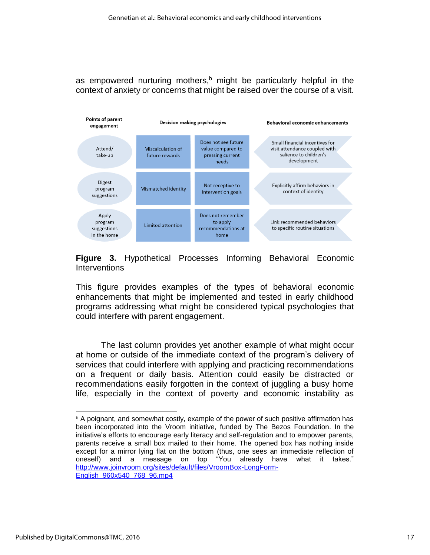as empowered nurturing mothers,<sup>b</sup> might be particularly helpful in the context of anxiety or concerns that might be raised over the course of a visit.



## **Figure 3.** Hypothetical Processes Informing Behavioral Economic **Interventions**

This figure provides examples of the types of behavioral economic enhancements that might be implemented and tested in early childhood programs addressing what might be considered typical psychologies that could interfere with parent engagement.

The last column provides yet another example of what might occur at home or outside of the immediate context of the program's delivery of services that could interfere with applying and practicing recommendations on a frequent or daily basis. Attention could easily be distracted or recommendations easily forgotten in the context of juggling a busy home life, especially in the context of poverty and economic instability as

 $\overline{b}$  A poignant, and somewhat costly, example of the power of such positive affirmation has been incorporated into the Vroom initiative, funded by The Bezos Foundation. In the initiative's efforts to encourage early literacy and self-regulation and to empower parents, parents receive a small box mailed to their home. The opened box has nothing inside except for a mirror lying flat on the bottom (thus, one sees an immediate reflection of oneself) and a message on top "You already have what it takes." [http://www.joinvroom.org/sites/default/files/VroomBox-LongForm-](http://www.joinvroom.org/sites/default/files/VroomBox-LongForm-English_960x540_768_96.mp4)[English\\_960x540\\_768\\_96.mp4](http://www.joinvroom.org/sites/default/files/VroomBox-LongForm-English_960x540_768_96.mp4)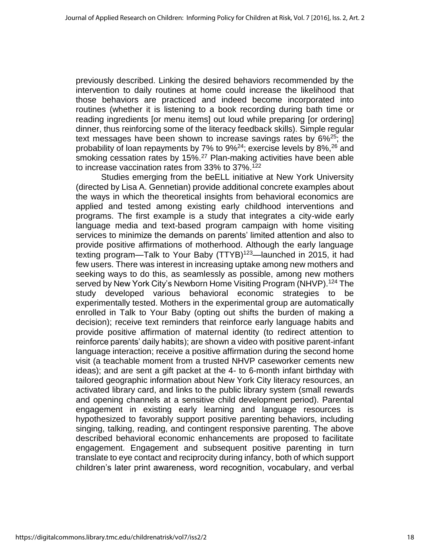previously described. Linking the desired behaviors recommended by the intervention to daily routines at home could increase the likelihood that those behaviors are practiced and indeed become incorporated into routines (whether it is listening to a book recording during bath time or reading ingredients [or menu items] out loud while preparing [or ordering] dinner, thus reinforcing some of the literacy feedback skills). Simple regular text messages have been shown to increase savings rates by 6%<sup>25</sup>; the probability of loan repayments by 7% to 9%<sup>24</sup>; exercise levels by 8%,<sup>26</sup> and smoking cessation rates by 15%.<sup>27</sup> Plan-making activities have been able to increase vaccination rates from 33% to 37%. 122

Studies emerging from the beELL initiative at New York University (directed by Lisa A. Gennetian) provide additional concrete examples about the ways in which the theoretical insights from behavioral economics are applied and tested among existing early childhood interventions and programs. The first example is a study that integrates a city-wide early language media and text-based program campaign with home visiting services to minimize the demands on parents' limited attention and also to provide positive affirmations of motherhood. Although the early language texting program—Talk to Your Baby (TTYB)<sup>123</sup>—launched in 2015, it had few users. There was interest in increasing uptake among new mothers and seeking ways to do this, as seamlessly as possible, among new mothers served by New York City's Newborn Home Visiting Program (NHVP).<sup>124</sup> The study developed various behavioral economic strategies to be experimentally tested. Mothers in the experimental group are automatically enrolled in Talk to Your Baby (opting out shifts the burden of making a decision); receive text reminders that reinforce early language habits and provide positive affirmation of maternal identity (to redirect attention to reinforce parents' daily habits); are shown a video with positive parent-infant language interaction; receive a positive affirmation during the second home visit (a teachable moment from a trusted NHVP caseworker cements new ideas); and are sent a gift packet at the 4- to 6-month infant birthday with tailored geographic information about New York City literacy resources, an activated library card, and links to the public library system (small rewards and opening channels at a sensitive child development period). Parental engagement in existing early learning and language resources is hypothesized to favorably support positive parenting behaviors, including singing, talking, reading, and contingent responsive parenting. The above described behavioral economic enhancements are proposed to facilitate engagement. Engagement and subsequent positive parenting in turn translate to eye contact and reciprocity during infancy, both of which support children's later print awareness, word recognition, vocabulary, and verbal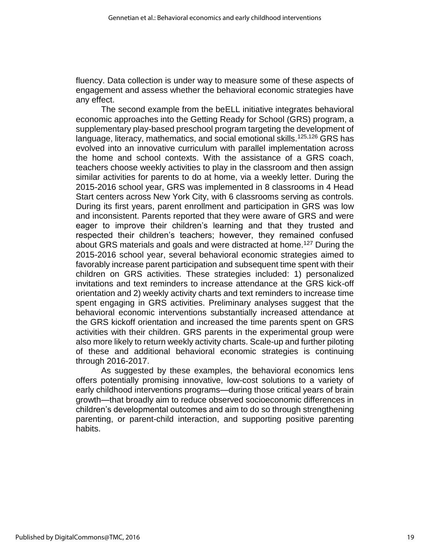fluency. Data collection is under way to measure some of these aspects of engagement and assess whether the behavioral economic strategies have any effect.

The second example from the beELL initiative integrates behavioral economic approaches into the Getting Ready for School (GRS) program, a supplementary play-based preschool program targeting the development of language, literacy, mathematics, and social emotional skills.<sup>125,126</sup> GRS has evolved into an innovative curriculum with parallel implementation across the home and school contexts. With the assistance of a GRS coach, teachers choose weekly activities to play in the classroom and then assign similar activities for parents to do at home, via a weekly letter. During the 2015-2016 school year, GRS was implemented in 8 classrooms in 4 Head Start centers across New York City, with 6 classrooms serving as controls. During its first years, parent enrollment and participation in GRS was low and inconsistent. Parents reported that they were aware of GRS and were eager to improve their children's learning and that they trusted and respected their children's teachers; however, they remained confused about GRS materials and goals and were distracted at home.<sup>127</sup> During the 2015-2016 school year, several behavioral economic strategies aimed to favorably increase parent participation and subsequent time spent with their children on GRS activities. These strategies included: 1) personalized invitations and text reminders to increase attendance at the GRS kick-off orientation and 2) weekly activity charts and text reminders to increase time spent engaging in GRS activities. Preliminary analyses suggest that the behavioral economic interventions substantially increased attendance at the GRS kickoff orientation and increased the time parents spent on GRS activities with their children. GRS parents in the experimental group were also more likely to return weekly activity charts. Scale-up and further piloting of these and additional behavioral economic strategies is continuing through 2016-2017.

As suggested by these examples, the behavioral economics lens offers potentially promising innovative, low-cost solutions to a variety of early childhood interventions programs—during those critical years of brain growth—that broadly aim to reduce observed socioeconomic differences in children's developmental outcomes and aim to do so through strengthening parenting, or parent-child interaction, and supporting positive parenting habits.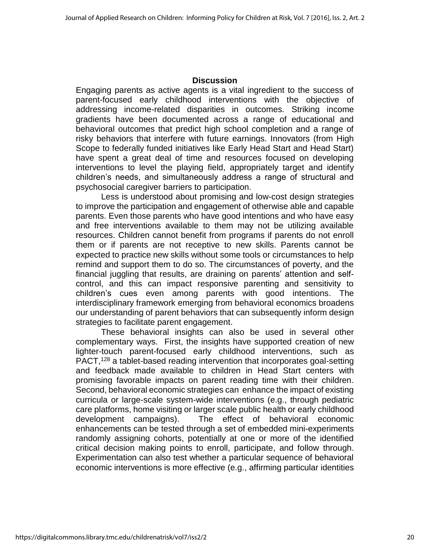#### **Discussion**

Engaging parents as active agents is a vital ingredient to the success of parent-focused early childhood interventions with the objective of addressing income-related disparities in outcomes. Striking income gradients have been documented across a range of educational and behavioral outcomes that predict high school completion and a range of risky behaviors that interfere with future earnings. Innovators (from High Scope to federally funded initiatives like Early Head Start and Head Start) have spent a great deal of time and resources focused on developing interventions to level the playing field, appropriately target and identify children's needs, and simultaneously address a range of structural and psychosocial caregiver barriers to participation.

Less is understood about promising and low-cost design strategies to improve the participation and engagement of otherwise able and capable parents. Even those parents who have good intentions and who have easy and free interventions available to them may not be utilizing available resources. Children cannot benefit from programs if parents do not enroll them or if parents are not receptive to new skills. Parents cannot be expected to practice new skills without some tools or circumstances to help remind and support them to do so. The circumstances of poverty, and the financial juggling that results, are draining on parents' attention and selfcontrol, and this can impact responsive parenting and sensitivity to children's cues even among parents with good intentions. The interdisciplinary framework emerging from behavioral economics broadens our understanding of parent behaviors that can subsequently inform design strategies to facilitate parent engagement.

These behavioral insights can also be used in several other complementary ways. First, the insights have supported creation of new lighter-touch parent-focused early childhood interventions, such as PACT,<sup>128</sup> a tablet-based reading intervention that incorporates goal-setting and feedback made available to children in Head Start centers with promising favorable impacts on parent reading time with their children. Second, behavioral economic strategies can enhance the impact of existing curricula or large-scale system-wide interventions (e.g., through pediatric care platforms, home visiting or larger scale public health or early childhood development campaigns). The effect of behavioral economic enhancements can be tested through a set of embedded mini-experiments randomly assigning cohorts, potentially at one or more of the identified critical decision making points to enroll, participate, and follow through. Experimentation can also test whether a particular sequence of behavioral economic interventions is more effective (e.g., affirming particular identities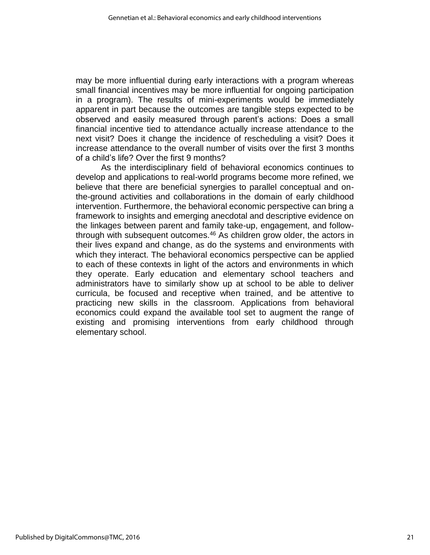may be more influential during early interactions with a program whereas small financial incentives may be more influential for ongoing participation in a program). The results of mini-experiments would be immediately apparent in part because the outcomes are tangible steps expected to be observed and easily measured through parent's actions: Does a small financial incentive tied to attendance actually increase attendance to the next visit? Does it change the incidence of rescheduling a visit? Does it increase attendance to the overall number of visits over the first 3 months of a child's life? Over the first 9 months?

As the interdisciplinary field of behavioral economics continues to develop and applications to real-world programs become more refined, we believe that there are beneficial synergies to parallel conceptual and onthe-ground activities and collaborations in the domain of early childhood intervention. Furthermore, the behavioral economic perspective can bring a framework to insights and emerging anecdotal and descriptive evidence on the linkages between parent and family take-up, engagement, and followthrough with subsequent outcomes.<sup>46</sup> As children grow older, the actors in their lives expand and change, as do the systems and environments with which they interact. The behavioral economics perspective can be applied to each of these contexts in light of the actors and environments in which they operate. Early education and elementary school teachers and administrators have to similarly show up at school to be able to deliver curricula, be focused and receptive when trained, and be attentive to practicing new skills in the classroom. Applications from behavioral economics could expand the available tool set to augment the range of existing and promising interventions from early childhood through elementary school.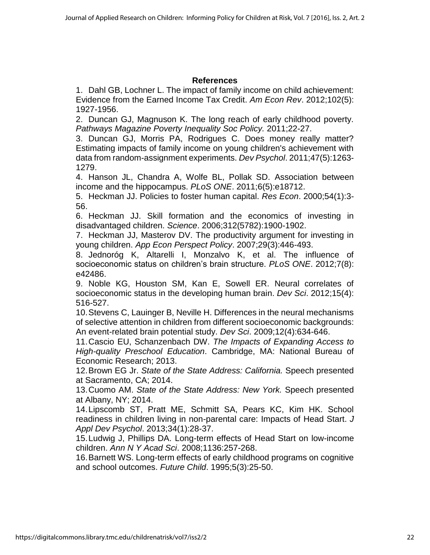# **References**

1. Dahl GB, Lochner L. The impact of family income on child achievement: Evidence from the Earned Income Tax Credit. *Am Econ Rev*. 2012;102(5): 1927-1956.

2. Duncan GJ, Magnuson K. The long reach of early childhood poverty. *Pathways Magazine Poverty Inequality Soc Policy.* 2011;22-27.

3. Duncan GJ, Morris PA, Rodrigues C. Does money really matter? Estimating impacts of family income on young children's achievement with data from random-assignment experiments. *Dev Psychol*. 2011;47(5):1263- 1279.

4. Hanson JL, Chandra A, Wolfe BL, Pollak SD. Association between income and the hippocampus. *PLoS ONE*. 2011;6(5):e18712.

5. Heckman JJ. Policies to foster human capital. *Res Econ*. 2000;54(1):3- 56.

6. Heckman JJ. Skill formation and the economics of investing in disadvantaged children. *Science*. 2006;312(5782):1900-1902.

7. Heckman JJ, Masterov DV. The productivity argument for investing in young children. *App Econ Perspect Policy*. 2007;29(3):446-493.

8. Jednoróg K, Altarelli I, Monzalvo K, et al. The influence of socioeconomic status on children's brain structure. *PLoS ONE*. 2012;7(8): e42486.

9. Noble KG, Houston SM, Kan E, Sowell ER. Neural correlates of socioeconomic status in the developing human brain. *Dev Sci*. 2012;15(4): 516-527.

10.Stevens C, Lauinger B, Neville H. Differences in the neural mechanisms of selective attention in children from different socioeconomic backgrounds: An event-related brain potential study. *Dev Sci*. 2009;12(4):634-646.

11.Cascio EU, Schanzenbach DW. *The Impacts of Expanding Access to High-quality Preschool Education*. Cambridge, MA: National Bureau of Economic Research; 2013.

12.Brown EG Jr. *State of the State Address: California.* Speech presented at Sacramento, CA; 2014.

13.Cuomo AM. *State of the State Address: New York.* Speech presented at Albany, NY; 2014.

14.Lipscomb ST, Pratt ME, Schmitt SA, Pears KC, Kim HK. School readiness in children living in non-parental care: Impacts of Head Start. *J Appl Dev Psychol*. 2013;34(1):28-37.

15.Ludwig J, Phillips DA. Long-term effects of Head Start on low-income children. *Ann N Y Acad Sci*. 2008;1136:257-268.

16.Barnett WS. Long-term effects of early childhood programs on cognitive and school outcomes. *Future Child*. 1995;5(3):25-50.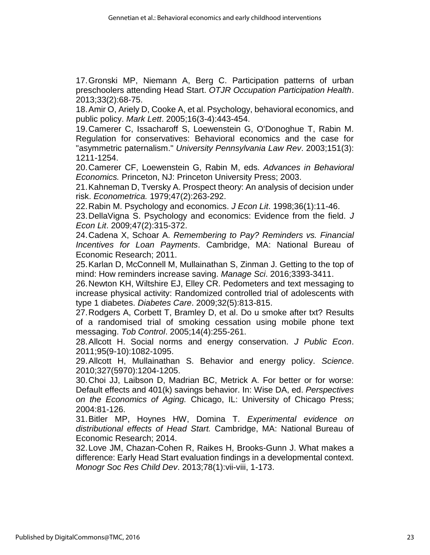17.Gronski MP, Niemann A, Berg C. Participation patterns of urban preschoolers attending Head Start. *OTJR Occupation Participation Health*. 2013;33(2):68-75.

18.Amir O, Ariely D, Cooke A, et al. Psychology, behavioral economics, and public policy. *Mark Lett*. 2005;16(3-4):443-454.

19.Camerer C, Issacharoff S, Loewenstein G, O'Donoghue T, Rabin M. Regulation for conservatives: Behavioral economics and the case for "asymmetric paternalism." *University Pennsylvania Law Rev*. 2003;151(3): 1211-1254.

20.Camerer CF, Loewenstein G, Rabin M, eds. *Advances in Behavioral Economics.* Princeton, NJ: Princeton University Press; 2003.

21.Kahneman D, Tversky A. Prospect theory: An analysis of decision under risk. *Econometrica.* 1979;47(2):263-292.

22.Rabin M. Psychology and economics. *J Econ Lit*. 1998;36(1):11-46.

23.DellaVigna S. Psychology and economics: Evidence from the field. *J Econ Lit*. 2009;47(2):315-372.

24.Cadena X, Schoar A. *Remembering to Pay? Reminders vs. Financial Incentives for Loan Payments*. Cambridge, MA: National Bureau of Economic Research; 2011.

25.Karlan D, McConnell M, Mullainathan S, Zinman J. Getting to the top of mind: How reminders increase saving. *Manage Sci*. 2016;3393-3411.

26.Newton KH, Wiltshire EJ, Elley CR. Pedometers and text messaging to increase physical activity: Randomized controlled trial of adolescents with type 1 diabetes. *Diabetes Care*. 2009;32(5):813-815.

27.Rodgers A, Corbett T, Bramley D, et al. Do u smoke after txt? Results of a randomised trial of smoking cessation using mobile phone text messaging. *Tob Control*. 2005;14(4):255-261.

28.Allcott H. Social norms and energy conservation. *J Public Econ*. 2011;95(9-10):1082-1095.

29.Allcott H, Mullainathan S. Behavior and energy policy. *Science*. 2010;327(5970):1204-1205.

30.Choi JJ, Laibson D, Madrian BC, Metrick A. For better or for worse: Default effects and 401(k) savings behavior. In: Wise DA, ed. *Perspectives on the Economics of Aging.* Chicago, IL: University of Chicago Press; 2004:81-126.

31.Bitler MP, Hoynes HW, Domina T. *Experimental evidence on distributional effects of Head Start.* Cambridge, MA: National Bureau of Economic Research; 2014.

32.Love JM, Chazan-Cohen R, Raikes H, Brooks-Gunn J. What makes a difference: Early Head Start evaluation findings in a developmental context. *Monogr Soc Res Child Dev*. 2013;78(1):vii-viii, 1-173.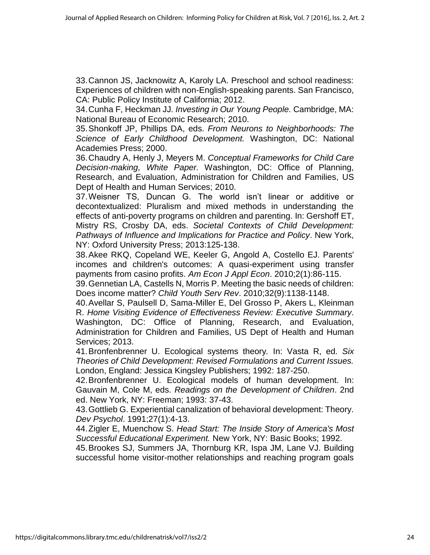33.Cannon JS, Jacknowitz A, Karoly LA. Preschool and school readiness: Experiences of children with non-English-speaking parents. San Francisco, CA: Public Policy Institute of California; 2012.

34.Cunha F, Heckman JJ. *Investing in Our Young People.* Cambridge, MA: National Bureau of Economic Research; 2010.

35.Shonkoff JP, Phillips DA, eds. *From Neurons to Neighborhoods: The Science of Early Childhood Development.* Washington, DC: National Academies Press; 2000.

36.Chaudry A, Henly J, Meyers M. *Conceptual Frameworks for Child Care Decision-making, White Paper.* Washington, DC: Office of Planning, Research, and Evaluation, Administration for Children and Families, US Dept of Health and Human Services; 2010.

37.Weisner TS, Duncan G. The world isn't linear or additive or decontextualized: Pluralism and mixed methods in understanding the effects of anti-poverty programs on children and parenting. In: Gershoff ET, Mistry RS, Crosby DA, eds. *Societal Contexts of Child Development: Pathways of Influence and Implications for Practice and Policy*. New York, NY: Oxford University Press; 2013:125-138.

38.Akee RKQ, Copeland WE, Keeler G, Angold A, Costello EJ. Parents' incomes and children's outcomes: A quasi-experiment using transfer payments from casino profits. *Am Econ J Appl Econ*. 2010;2(1):86-115.

39.Gennetian LA, Castells N, Morris P. Meeting the basic needs of children: Does income matter? *Child Youth Serv Rev*. 2010;32(9):1138-1148.

40.Avellar S, Paulsell D, Sama-Miller E, Del Grosso P, Akers L, Kleinman R. *Home Visiting Evidence of Effectiveness Review: Executive Summary*. Washington, DC: Office of Planning, Research, and Evaluation, Administration for Children and Families, US Dept of Health and Human Services; 2013.

41.Bronfenbrenner U. Ecological systems theory*.* In: Vasta R, ed. *Six Theories of Child Development: Revised Formulations and Current Issues.*  London, England: Jessica Kingsley Publishers; 1992: 187-250.

42.Bronfenbrenner U. Ecological models of human development. In: Gauvain M, Cole M, eds. *Readings on the Development of Children*. 2nd ed. New York, NY: Freeman; 1993: 37-43.

43.Gottlieb G. Experiential canalization of behavioral development: Theory. *Dev Psychol*. 1991;27(1):4-13.

44.Zigler E, Muenchow S. *Head Start: The Inside Story of America's Most Successful Educational Experiment.* New York, NY: Basic Books; 1992.

45.Brookes SJ, Summers JA, Thornburg KR, Ispa JM, Lane VJ. Building successful home visitor-mother relationships and reaching program goals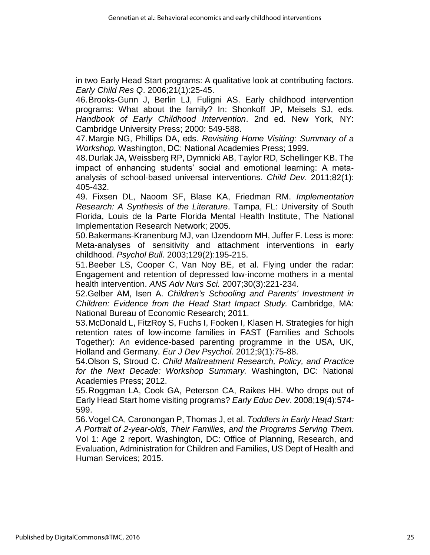in two Early Head Start programs: A qualitative look at contributing factors. *Early Child Res Q*. 2006;21(1):25-45.

46.Brooks-Gunn J, Berlin LJ, Fuligni AS. Early childhood intervention programs: What about the family? In: Shonkoff JP, Meisels SJ, eds. *Handbook of Early Childhood Intervention*. 2nd ed. New York, NY: Cambridge University Press; 2000: 549-588.

47.Margie NG, Phillips DA, eds. *Revisiting Home Visiting: Summary of a Workshop.* Washington, DC: National Academies Press; 1999.

48.Durlak JA, Weissberg RP, Dymnicki AB, Taylor RD, Schellinger KB. The impact of enhancing students' social and emotional learning: A meta‐ analysis of school‐based universal interventions. *Child Dev*. 2011;82(1): 405-432.

49. Fixsen DL, Naoom SF, Blase KA, Friedman RM. *Implementation Research: A Synthesis of the Literature*. Tampa, FL: University of South Florida, Louis de la Parte Florida Mental Health Institute, The National Implementation Research Network; 2005.

50.Bakermans-Kranenburg MJ, van IJzendoorn MH, Juffer F. Less is more: Meta-analyses of sensitivity and attachment interventions in early childhood. *Psychol Bull*. 2003;129(2):195-215.

51.Beeber LS, Cooper C, Van Noy BE, et al. Flying under the radar: Engagement and retention of depressed low‐income mothers in a mental health intervention. *ANS Adv Nurs Sci.* 2007;30(3):221-234.

52.Gelber AM, Isen A. *Children's Schooling and Parents' Investment in Children: Evidence from the Head Start Impact Study.* Cambridge, MA: National Bureau of Economic Research; 2011.

53.McDonald L, FitzRoy S, Fuchs I, Fooken I, Klasen H. Strategies for high retention rates of low-income families in FAST (Families and Schools Together): An evidence-based parenting programme in the USA, UK, Holland and Germany. *Eur J Dev Psychol*. 2012;9(1):75-88.

54.Olson S, Stroud C. *Child Maltreatment Research, Policy, and Practice for the Next Decade: Workshop Summary.* Washington, DC: National Academies Press; 2012.

55.Roggman LA, Cook GA, Peterson CA, Raikes HH. Who drops out of Early Head Start home visiting programs? *Early Educ Dev*. 2008;19(4):574- 599.

56.Vogel CA, Caronongan P, Thomas J, et al. *Toddlers in Early Head Start: A Portrait of 2-year-olds, Their Families, and the Programs Serving Them.*  Vol 1: Age 2 report. Washington, DC: Office of Planning, Research, and Evaluation, Administration for Children and Families, US Dept of Health and Human Services; 2015.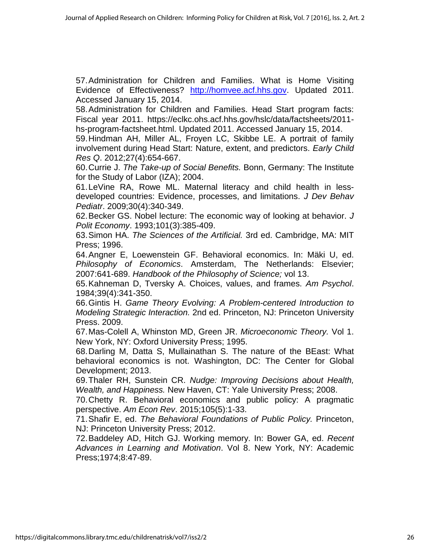57.Administration for Children and Families. What is Home Visiting Evidence of Effectiveness? [http://homvee.acf.hhs.gov.](http://homvee.acf.hhs.gov/) Updated 2011. Accessed January 15, 2014.

58.Administration for Children and Families. Head Start program facts: Fiscal year 2011. https://eclkc.ohs.acf.hhs.gov/hslc/data/factsheets/2011 hs-program-factsheet.html. Updated 2011. Accessed January 15, 2014.

59.Hindman AH, Miller AL, Froyen LC, Skibbe LE. A portrait of family involvement during Head Start: Nature, extent, and predictors. *Early Child Res Q*. 2012;27(4):654-667.

60.Currie J. *The Take-up of Social Benefits.* Bonn, Germany: The Institute for the Study of Labor (IZA); 2004.

61.LeVine RA, Rowe ML. Maternal literacy and child health in lessdeveloped countries: Evidence, processes, and limitations. *J Dev Behav Pediatr*. 2009;30(4):340-349.

62.Becker GS. Nobel lecture: The economic way of looking at behavior. *J Polit Economy*. 1993;101(3):385-409.

63.Simon HA. *The Sciences of the Artificial.* 3rd ed. Cambridge, MA: MIT Press; 1996.

64.Angner E, Loewenstein GF. Behavioral economics. In: Mäki U, ed. *Philosophy of Economics*. Amsterdam, The Netherlands: Elsevier; 2007:641-689. *Handbook of the Philosophy of Science;* vol 13.

65.Kahneman D, Tversky A. Choices, values, and frames. *Am Psychol*. 1984;39(4):341-350.

66.Gintis H. *Game Theory Evolving: A Problem-centered Introduction to Modeling Strategic Interaction.* 2nd ed. Princeton, NJ: Princeton University Press. 2009.

67.Mas-Colell A, Whinston MD, Green JR. *Microeconomic Theory.* Vol 1. New York, NY: Oxford University Press; 1995.

68.Darling M, Datta S, Mullainathan S. The nature of the BEast: What behavioral economics is not. Washington, DC: The Center for Global Development; 2013.

69.Thaler RH, Sunstein CR. *Nudge: Improving Decisions about Health, Wealth, and Happiness.* New Haven, CT: Yale University Press; 2008.

70.Chetty R. Behavioral economics and public policy: A pragmatic perspective. *Am Econ Rev*. 2015;105(5):1-33.

71.Shafir E, ed. *The Behavioral Foundations of Public Policy.* Princeton, NJ: Princeton University Press; 2012.

72.Baddeley AD, Hitch GJ. Working memory. In: Bower GA, ed. *Recent Advances in Learning and Motivation*. Vol 8. New York, NY: Academic Press;1974;8:47-89.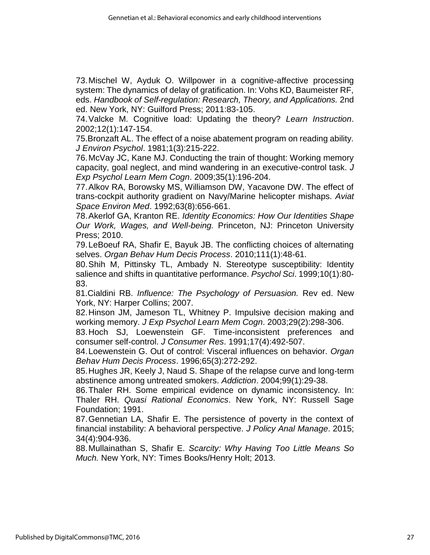73.Mischel W, Ayduk O. Willpower in a cognitive-affective processing system: The dynamics of delay of gratification. In: Vohs KD, Baumeister RF, eds. *Handbook of Self-regulation: Research, Theory, and Applications.* 2nd ed. New York, NY: Guilford Press; 2011:83-105.

74.Valcke M. Cognitive load: Updating the theory? *Learn Instruction*. 2002;12(1):147-154.

75.Bronzaft AL. The effect of a noise abatement program on reading ability. *J Environ Psychol*. 1981;1(3):215-222.

76.McVay JC, Kane MJ. Conducting the train of thought: Working memory capacity, goal neglect, and mind wandering in an executive-control task. *J Exp Psychol Learn Mem Cogn*. 2009;35(1):196-204.

77.Alkov RA, Borowsky MS, Williamson DW, Yacavone DW. The effect of trans-cockpit authority gradient on Navy/Marine helicopter mishaps. *Aviat Space Environ Med*. 1992;63(8):656-661.

78.Akerlof GA, Kranton RE. *Identity Economics: How Our Identities Shape Our Work, Wages, and Well-being.* Princeton, NJ: Princeton University Press; 2010.

79.LeBoeuf RA, Shafir E, Bayuk JB. The conflicting choices of alternating selves. *Organ Behav Hum Decis Process*. 2010;111(1):48-61.

80.Shih M, Pittinsky TL, Ambady N. Stereotype susceptibility: Identity salience and shifts in quantitative performance. *Psychol Sci*. 1999;10(1):80- 83.

81.Cialdini RB. *Influence: The Psychology of Persuasion.* Rev ed. New York, NY: Harper Collins; 2007.

82.Hinson JM, Jameson TL, Whitney P. Impulsive decision making and working memory. *J Exp Psychol Learn Mem Cogn*. 2003;29(2):298-306.

83.Hoch SJ, Loewenstein GF. Time-inconsistent preferences and consumer self-control. *J Consumer Res*. 1991;17(4):492-507.

84.Loewenstein G. Out of control: Visceral influences on behavior. *Organ Behav Hum Decis Process*. 1996;65(3):272-292.

85.Hughes JR, Keely J, Naud S. Shape of the relapse curve and long‐term abstinence among untreated smokers. *Addiction*. 2004;99(1):29-38.

86.Thaler RH. Some empirical evidence on dynamic inconsistency. In: Thaler RH. *Quasi Rational Economics*. New York, NY: Russell Sage Foundation; 1991.

87.Gennetian LA, Shafir E. The persistence of poverty in the context of financial instability: A behavioral perspective. *J Policy Anal Manage*. 2015; 34(4):904-936.

88.Mullainathan S, Shafir E. *Scarcity: Why Having Too Little Means So Much.* New York, NY: Times Books/Henry Holt; 2013.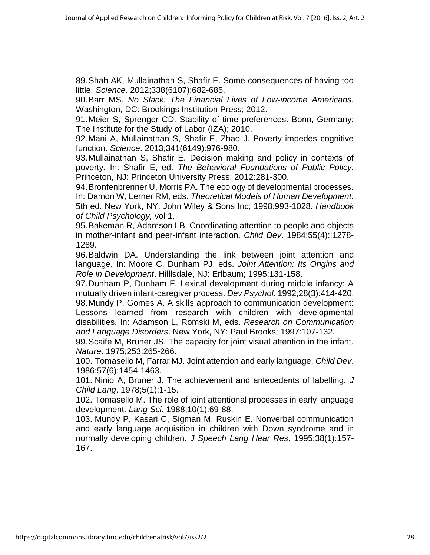89.Shah AK, Mullainathan S, Shafir E. Some consequences of having too little. *Science*. 2012;338(6107):682-685.

90.Barr MS. *No Slack: The Financial Lives of Low-income Americans.*  Washington, DC: Brookings Institution Press; 2012.

91.Meier S, Sprenger CD. Stability of time preferences. Bonn, Germany: The Institute for the Study of Labor (IZA); 2010.

92.Mani A, Mullainathan S, Shafir E, Zhao J. Poverty impedes cognitive function. *Science*. 2013;341(6149):976-980.

93.Mullainathan S, Shafir E. Decision making and policy in contexts of poverty. In: Shafir E, ed. *The Behavioral Foundations of Public Policy.*  Princeton, NJ: Princeton University Press; 2012:281-300.

94.Bronfenbrenner U, Morris PA. The ecology of developmental processes. In: Damon W, Lerner RM, eds. *Theoretical Models of Human Development.*  5th ed. New York, NY: John Wiley & Sons Inc; 1998:993-1028. *Handbook of Child Psychology,* vol 1.

95.Bakeman R, Adamson LB. Coordinating attention to people and objects in mother-infant and peer-infant interaction. *Child Dev*. 1984;55(4)::1278- 1289.

96.Baldwin DA. Understanding the link between joint attention and language. In: Moore C, Dunham PJ, eds. *Joint Attention: Its Origins and Role in Development*. Hilllsdale, NJ: Erlbaum; 1995:131-158.

97.Dunham P, Dunham F. Lexical development during middle infancy: A mutually driven infant-caregiver process. *Dev Psychol*. 1992;28(3):414-420. 98.Mundy P, Gomes A. A skills approach to communication development: Lessons learned from research with children with developmental disabilities. In: Adamson L, Romski M, eds. *Research on Communication and Language Disorders*. New York, NY: Paul Brooks; 1997:107-132.

99.Scaife M, Bruner JS. The capacity for joint visual attention in the infant. *Nature*. 1975;253:265-266.

100. Tomasello M, Farrar MJ. Joint attention and early language. *Child Dev*. 1986;57(6):1454-1463.

101. Ninio A, Bruner J. The achievement and antecedents of labelling. *J Child Lang*. 1978;5(1):1-15.

102. Tomasello M. The role of joint attentional processes in early language development. *Lang Sci*. 1988;10(1):69-88.

103. Mundy P, Kasari C, Sigman M, Ruskin E. Nonverbal communication and early language acquisition in children with Down syndrome and in normally developing children. *J Speech Lang Hear Res*. 1995;38(1):157- 167.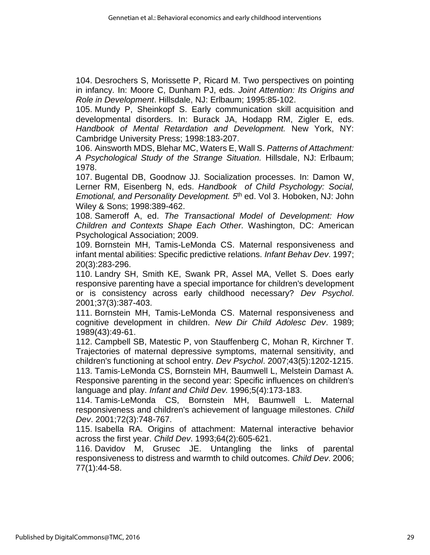104. Desrochers S, Morissette P, Ricard M. Two perspectives on pointing in infancy. In: Moore C, Dunham PJ, eds. *Joint Attention: Its Origins and Role in Development*. Hillsdale, NJ: Erlbaum; 1995:85-102.

105. Mundy P, Sheinkopf S. Early communication skill acquisition and developmental disorders. In: Burack JA, Hodapp RM, Zigler E, eds. *Handbook of Mental Retardation and Development.* New York, NY: Cambridge University Press; 1998:183-207.

106. Ainsworth MDS, Blehar MC, Waters E, Wall S. *Patterns of Attachment: A Psychological Study of the Strange Situation.* Hillsdale, NJ: Erlbaum; 1978.

107. Bugental DB, Goodnow JJ. Socialization processes. In: Damon W, Lerner RM, Eisenberg N, eds. *Handbook of Child Psychology: Social, Emotional, and Personality Development. 5<sup>th</sup> ed. Vol 3. Hoboken, NJ: John* Wiley & Sons; 1998:389-462.

108. Sameroff A, ed. *The Transactional Model of Development: How Children and Contexts Shape Each Other.* Washington, DC: American Psychological Association; 2009.

109. Bornstein MH, Tamis-LeMonda CS. Maternal responsiveness and infant mental abilities: Specific predictive relations. *Infant Behav Dev*. 1997; 20(3):283-296.

110. Landry SH, Smith KE, Swank PR, Assel MA, Vellet S. Does early responsive parenting have a special importance for children's development or is consistency across early childhood necessary? *Dev Psychol*. 2001;37(3):387-403.

111. Bornstein MH, Tamis‐LeMonda CS. Maternal responsiveness and cognitive development in children. *New Dir Child Adolesc Dev*. 1989; 1989(43):49-61.

112. Campbell SB, Matestic P, von Stauffenberg C, Mohan R, Kirchner T. Trajectories of maternal depressive symptoms, maternal sensitivity, and children's functioning at school entry. *Dev Psychol*. 2007;43(5):1202-1215.

113. Tamis‐LeMonda CS, Bornstein MH, Baumwell L, Melstein Damast A. Responsive parenting in the second year: Specific influences on children's language and play. *Infant and Child Dev.* 1996;5(4):173-183.

114. Tamis‐LeMonda CS, Bornstein MH, Baumwell L. Maternal responsiveness and children's achievement of language milestones. *Child Dev*. 2001;72(3):748-767.

115. Isabella RA. Origins of attachment: Maternal interactive behavior across the first year. *Child Dev*. 1993;64(2):605-621.

116. Davidov M, Grusec JE. Untangling the links of parental responsiveness to distress and warmth to child outcomes. *Child Dev*. 2006; 77(1):44-58.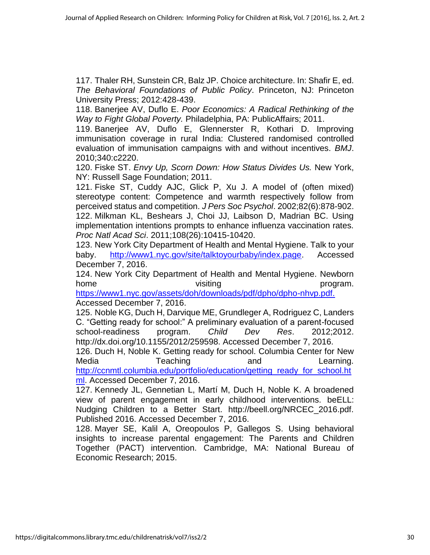117. Thaler RH, Sunstein CR, Balz JP. Choice architecture. In: Shafir E, ed. *The Behavioral Foundations of Public Policy*. Princeton, NJ: Princeton University Press; 2012:428-439.

118. Banerjee AV, Duflo E. *Poor Economics: A Radical Rethinking of the Way to Fight Global Poverty.* Philadelphia, PA: PublicAffairs; 2011.

119. Banerjee AV, Duflo E, Glennerster R, Kothari D. Improving immunisation coverage in rural India: Clustered randomised controlled evaluation of immunisation campaigns with and without incentives. *BMJ*. 2010;340:c2220.

120. Fiske ST. *Envy Up, Scorn Down: How Status Divides Us.* New York, NY: Russell Sage Foundation; 2011.

121. Fiske ST, Cuddy AJC, Glick P, Xu J. A model of (often mixed) stereotype content: Competence and warmth respectively follow from perceived status and competition. *J Pers Soc Psychol*. 2002;82(6):878-902. 122. Milkman KL, Beshears J, Choi JJ, Laibson D, Madrian BC. Using implementation intentions prompts to enhance influenza vaccination rates. *Proc Natl Acad Sci*. 2011;108(26):10415-10420.

123. New York City Department of Health and Mental Hygiene. Talk to your baby. [http://www1.nyc.gov/site/talktoyourbaby/index.page.](http://www1.nyc.gov/site/talktoyourbaby/index.page) Accessed December 7, 2016.

124. New York City Department of Health and Mental Hygiene. Newborn home visiting by a state of the visiting the program.

[https://www1.nyc.gov/assets/doh/downloads/pdf/dpho/dpho-nhvp.pdf.](https://www1.nyc.gov/assets/doh/downloads/pdf/dpho/dpho-nhvp.pdf) Accessed December 7, 2016.

125. Noble KG, Duch H, Darvique ME, Grundleger A, Rodriguez C, Landers C. "Getting ready for school:" A preliminary evaluation of a parent-focused school-readiness program. *Child Dev Res*. 2012;2012. http://dx.doi.org/10.1155/2012/259598. Accessed December 7, 2016.

126. Duch H, Noble K. Getting ready for school. Columbia Center for New Media Teaching and Learning. [http://ccnmtl.columbia.edu/portfolio/education/getting\\_ready\\_for\\_school.ht](http://ccnmtl.columbia.edu/portfolio/education/getting_ready_for_school.html) [ml.](http://ccnmtl.columbia.edu/portfolio/education/getting_ready_for_school.html) Accessed December 7, 2016.

127. Kennedy JL, Gennetian L, Martí M, Duch H, Noble K. A broadened view of parent engagement in early childhood interventions. beELL: Nudging Children to a Better Start. http://beell.org/NRCEC\_2016.pdf. Published 2016. Accessed December 7, 2016.

128. Mayer SE, Kalil A, Oreopoulos P, Gallegos S. Using behavioral insights to increase parental engagement: The Parents and Children Together (PACT) intervention. Cambridge, MA: National Bureau of Economic Research; 2015.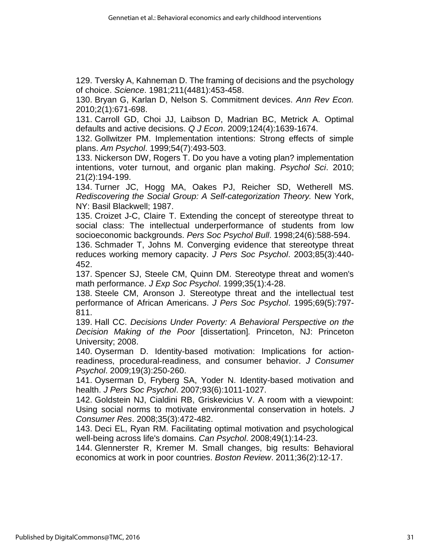129. Tversky A, Kahneman D. The framing of decisions and the psychology of choice. *Science*. 1981;211(4481):453-458.

130. Bryan G, Karlan D, Nelson S. Commitment devices. *Ann Rev Econ.* 2010;2(1):671-698.

131. Carroll GD, Choi JJ, Laibson D, Madrian BC, Metrick A. Optimal defaults and active decisions. *Q J Econ*. 2009;124(4):1639-1674.

132. Gollwitzer PM. Implementation intentions: Strong effects of simple plans. *Am Psychol*. 1999;54(7):493-503.

133. Nickerson DW, Rogers T. Do you have a voting plan? implementation intentions, voter turnout, and organic plan making. *Psychol Sci*. 2010; 21(2):194-199.

134. Turner JC, Hogg MA, Oakes PJ, Reicher SD, Wetherell MS. *Rediscovering the Social Group: A Self-categorization Theory.* New York, NY: Basil Blackwell; 1987.

135. Croizet J-C, Claire T. Extending the concept of stereotype threat to social class: The intellectual underperformance of students from low socioeconomic backgrounds. *Pers Soc Psychol Bull*. 1998;24(6):588-594.

136. Schmader T, Johns M. Converging evidence that stereotype threat reduces working memory capacity. *J Pers Soc Psychol*. 2003;85(3):440- 452.

137. Spencer SJ, Steele CM, Quinn DM. Stereotype threat and women's math performance. *J Exp Soc Psychol*. 1999;35(1):4-28.

138. Steele CM, Aronson J. Stereotype threat and the intellectual test performance of African Americans. *J Pers Soc Psychol*. 1995;69(5):797- 811.

139. Hall CC. *Decisions Under Poverty: A Behavioral Perspective on the Decision Making of the Poor* [dissertation]*.* Princeton, NJ: Princeton University; 2008.

140. Oyserman D. Identity-based motivation: Implications for actionreadiness, procedural-readiness, and consumer behavior. *J Consumer Psychol*. 2009;19(3):250-260.

141. Oyserman D, Fryberg SA, Yoder N. Identity-based motivation and health. *J Pers Soc Psychol*. 2007;93(6):1011-1027.

142. Goldstein NJ, Cialdini RB, Griskevicius V. A room with a viewpoint: Using social norms to motivate environmental conservation in hotels. *J Consumer Res*. 2008;35(3):472-482.

143. Deci EL, Ryan RM. Facilitating optimal motivation and psychological well-being across life's domains. *Can Psychol*. 2008;49(1):14-23.

144. Glennerster R, Kremer M. Small changes, big results: Behavioral economics at work in poor countries. *Boston Review*. 2011;36(2):12-17.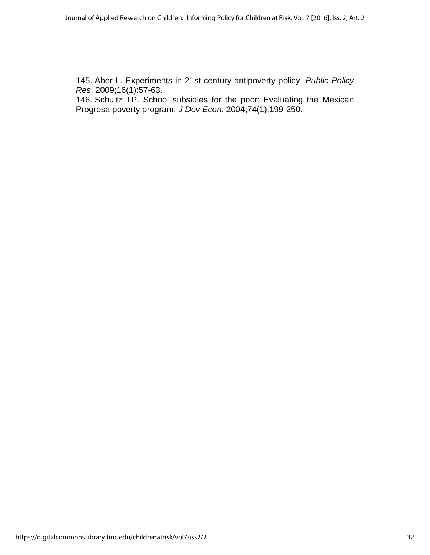145. Aber L. Experiments in 21st century antipoverty policy. *Public Policy Res*. 2009;16(1):57-63.

146. Schultz TP. School subsidies for the poor: Evaluating the Mexican Progresa poverty program. *J Dev Econ*. 2004;74(1):199-250.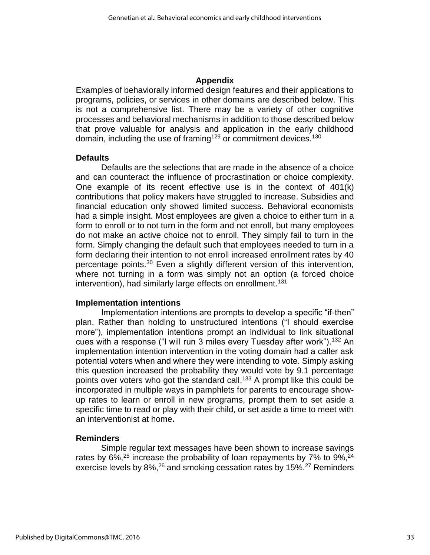#### **Appendix**

Examples of behaviorally informed design features and their applications to programs, policies, or services in other domains are described below. This is not a comprehensive list. There may be a variety of other cognitive processes and behavioral mechanisms in addition to those described below that prove valuable for analysis and application in the early childhood domain, including the use of framing<sup>129</sup> or commitment devices.<sup>130</sup>

#### **Defaults**

Defaults are the selections that are made in the absence of a choice and can counteract the influence of procrastination or choice complexity. One example of its recent effective use is in the context of 401(k) contributions that policy makers have struggled to increase. Subsidies and financial education only showed limited success. Behavioral economists had a simple insight. Most employees are given a choice to either turn in a form to enroll or to not turn in the form and not enroll, but many employees do not make an active choice not to enroll. They simply fail to turn in the form. Simply changing the default such that employees needed to turn in a form declaring their intention to not enroll increased enrollment rates by 40 percentage points.<sup>30</sup> Even a slightly different version of this intervention, where not turning in a form was simply not an option (a forced choice intervention), had similarly large effects on enrollment. 131

#### **Implementation intentions**

Implementation intentions are prompts to develop a specific "if-then" plan. Rather than holding to unstructured intentions ("I should exercise more"), implementation intentions prompt an individual to link situational cues with a response ("I will run 3 miles every Tuesday after work").<sup>132</sup> An implementation intention intervention in the voting domain had a caller ask potential voters when and where they were intending to vote. Simply asking this question increased the probability they would vote by 9.1 percentage points over voters who got the standard call.<sup>133</sup> A prompt like this could be incorporated in multiple ways in pamphlets for parents to encourage showup rates to learn or enroll in new programs, prompt them to set aside a specific time to read or play with their child, or set aside a time to meet with an interventionist at home**.** 

#### **Reminders**

Simple regular text messages have been shown to increase savings rates by 6%,<sup>25</sup> increase the probability of loan repayments by 7% to 9%,<sup>24</sup> exercise levels by 8%,<sup>26</sup> and smoking cessation rates by 15%.<sup>27</sup> Reminders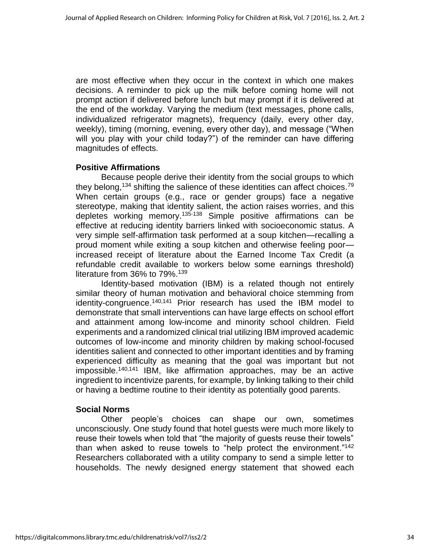are most effective when they occur in the context in which one makes decisions. A reminder to pick up the milk before coming home will not prompt action if delivered before lunch but may prompt if it is delivered at the end of the workday. Varying the medium (text messages, phone calls, individualized refrigerator magnets), frequency (daily, every other day, weekly), timing (morning, evening, every other day), and message ("When will you play with your child today?") of the reminder can have differing magnitudes of effects.

## **Positive Affirmations**

Because people derive their identity from the social groups to which they belong,<sup>134</sup> shifting the salience of these identities can affect choices.<sup>79</sup> When certain groups (e.g., race or gender groups) face a negative stereotype, making that identity salient, the action raises worries, and this depletes working memory.<sup>135-138</sup> Simple positive affirmations can be effective at reducing identity barriers linked with socioeconomic status. A very simple self-affirmation task performed at a soup kitchen—recalling a proud moment while exiting a soup kitchen and otherwise feeling poor increased receipt of literature about the Earned Income Tax Credit (a refundable credit available to workers below some earnings threshold) literature from 36% to 79%.<sup>139</sup>

Identity-based motivation (IBM) is a related though not entirely similar theory of human motivation and behavioral choice stemming from identity-congruence.<sup>140,141</sup> Prior research has used the IBM model to demonstrate that small interventions can have large effects on school effort and attainment among low-income and minority school children. Field experiments and a randomized clinical trial utilizing IBM improved academic outcomes of low-income and minority children by making school-focused identities salient and connected to other important identities and by framing experienced difficulty as meaning that the goal was important but not impossible. 140,141 IBM, like affirmation approaches, may be an active ingredient to incentivize parents, for example, by linking talking to their child or having a bedtime routine to their identity as potentially good parents.

## **Social Norms**

Other people's choices can shape our own, sometimes unconsciously. One study found that hotel guests were much more likely to reuse their towels when told that "the majority of guests reuse their towels" than when asked to reuse towels to "help protect the environment."<sup>142</sup> Researchers collaborated with a utility company to send a simple letter to households. The newly designed energy statement that showed each